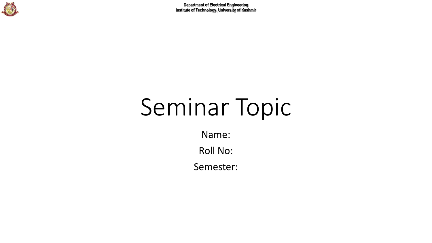

# Seminar Topic

Name:

Roll No:

Semester: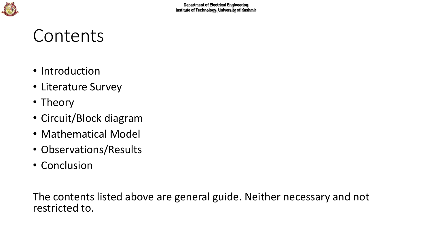

#### Contents

- Introduction
- Literature Survey
- Theory
- Circuit/Block diagram
- Mathematical Model
- Observations/Results
- Conclusion

The contents listed above are general guide. Neither necessary and not restricted to.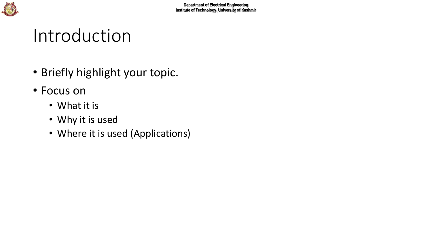

#### Introduction

- Briefly highlight your topic.
- Focus on
	- What it is
	- Why it is used
	- Where it is used (Applications)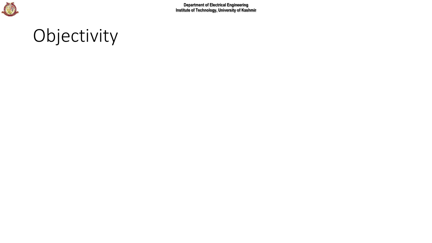

**Department of Electrical Engineering Institute of Technology, University of Kashmir**

# Objectivity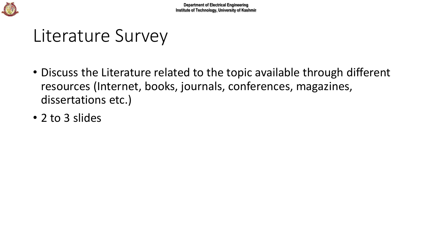

#### Literature Survey

- Discuss the Literature related to the topic available through different resources (Internet, books, journals, conferences, magazines, dissertations etc.)
- 2 to 3 slides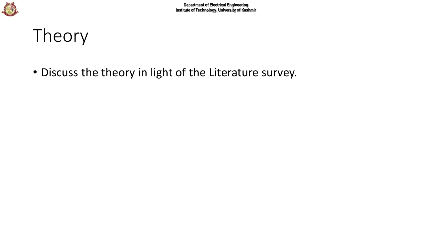

# Theory

• Discuss the theory in light of the Literature survey.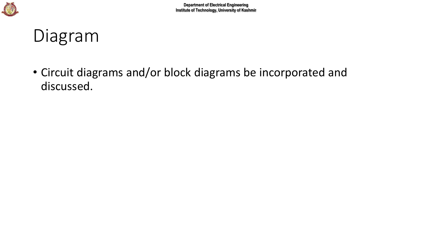

## Diagram

• Circuit diagrams and/or block diagrams be incorporated and discussed.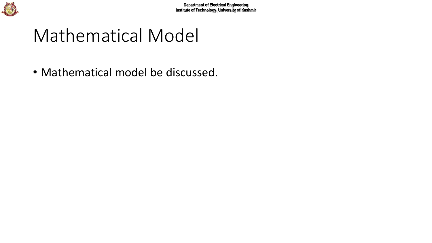

#### Mathematical Model

• Mathematical model be discussed.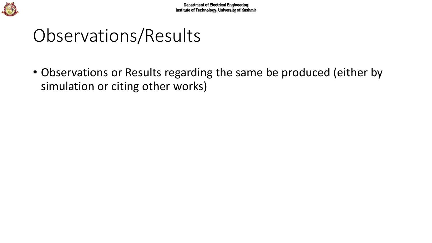

# Observations/Results

• Observations or Results regarding the same be produced (either by simulation or citing other works)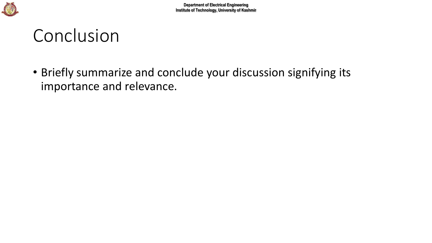



• Briefly summarize and conclude your discussion signifying its importance and relevance.